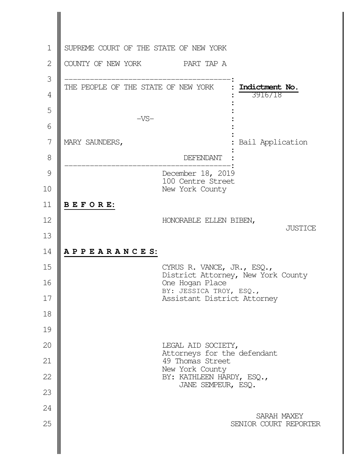| $\mathbf 1$    | SUPREME COURT OF THE STATE OF NEW YORK                           |
|----------------|------------------------------------------------------------------|
| $\overline{2}$ | COUNTY OF NEW YORK<br>PART TAP A                                 |
| 3              |                                                                  |
| $\overline{4}$ | THE PEOPLE OF THE STATE OF NEW YORK<br>Indictment No.<br>3916/18 |
| 5              | $-VS-$                                                           |
| 6              |                                                                  |
| 7              | MARY SAUNDERS,<br>Bail Application                               |
| 8              | DEFENDANT                                                        |
| 9              | December 18, 2019<br>100 Centre Street                           |
| 10             | New York County                                                  |
| 11             | BEFORE:                                                          |
| 12             | HONORABLE ELLEN BIBEN,<br><b>JUSTICE</b>                         |
| 13             |                                                                  |
| 14             | APPEARANCES:                                                     |
| 15             | CYRUS R. VANCE, JR., ESQ.,<br>District Attorney, New York County |
| 16             | One Hogan Place<br>BY: JESSICA TROY, ESQ.,                       |
| 17             | Assistant District Attorney                                      |
| 18<br>19       |                                                                  |
| 20             | LEGAL AID SOCIETY,                                               |
| 21             | Attorneys for the defendant<br>49 Thomas Street                  |
| 22             | New York County<br>BY: KATHLEEN HARDY, ESQ.,                     |
| 23             | JANE SEMPEUR, ESQ.                                               |
| 24             |                                                                  |
| 25             | SARAH MAXEY<br>SENIOR COURT REPORTER                             |
|                |                                                                  |
|                |                                                                  |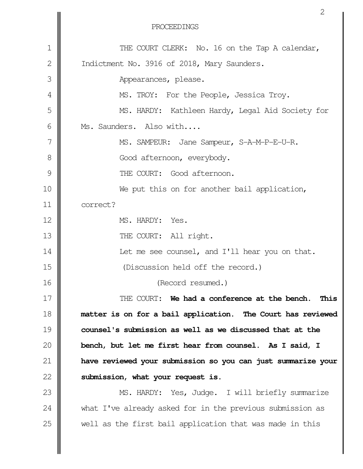|               | Z                                                            |
|---------------|--------------------------------------------------------------|
|               | PROCEEDINGS                                                  |
| 1             | THE COURT CLERK: No. 16 on the Tap A calendar,               |
| 2             | Indictment No. 3916 of 2018, Mary Saunders.                  |
| 3             | Appearances, please.                                         |
| 4             | MS. TROY: For the People, Jessica Troy.                      |
| 5             | MS. HARDY: Kathleen Hardy, Legal Aid Society for             |
| 6             | Ms. Saunders. Also with                                      |
| 7             | MS. SAMPEUR: Jane Sampeur, S-A-M-P-E-U-R.                    |
| 8             | Good afternoon, everybody.                                   |
| $\mathcal{G}$ | THE COURT: Good afternoon.                                   |
| 10            | We put this on for another bail application,                 |
| 11            | correct?                                                     |
| 12            | MS. HARDY: Yes.                                              |
| 13            | THE COURT: All right.                                        |
| 14            | Let me see counsel, and I'll hear you on that.               |
| 15            | (Discussion held off the record.)                            |
| 16            | (Record resumed.)                                            |
| 17            | THE COURT: We had a conference at the bench. This            |
| 18            | matter is on for a bail application. The Court has reviewed  |
| 19            | counsel's submission as well as we discussed that at the     |
| 20            | bench, but let me first hear from counsel. As I said, I      |
| 21            | have reviewed your submission so you can just summarize your |
| 22            | submission, what your request is.                            |
| 23            | MS. HARDY: Yes, Judge. I will briefly summarize              |
| 24            | what I've already asked for in the previous submission as    |
| 25            | well as the first bail application that was made in this     |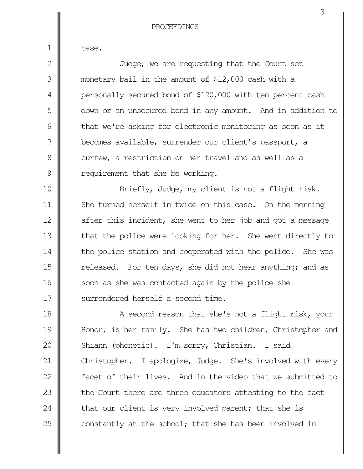case.

1

Judge, we are requesting that the Court set monetary bail in the amount of \$12,000 cash with a personally secured bond of \$120,000 with ten percent cash down or an unsecured bond in any amount. And in addition to that we're asking for electronic monitoring as soon as it becomes available, surrender our client's passport, a curfew, a restriction on her travel and as well as a requirement that she be working. Briefly, Judge, my client is not a flight risk. She turned herself in twice on this case. On the morning 2 3 4 5 6 7 8 9 10 11

after this incident, she went to her job and got a message that the police were looking for her. She went directly to the police station and cooperated with the police. She was released. For ten days, she did not hear anything; and as soon as she was contacted again by the police she surrendered herself a second time. 12 13 14 15 16 17

A second reason that she's not a flight risk, your Honor, is her family. She has two children, Christopher and Shiann (phonetic). I'm sorry, Christian. I said Christopher. I apologize, Judge. She's involved with every facet of their lives. And in the video that we submitted to the Court there are three educators attesting to the fact that our client is very involved parent; that she is constantly at the school; that she has been involved in 18 19 20 21 22 23 24 25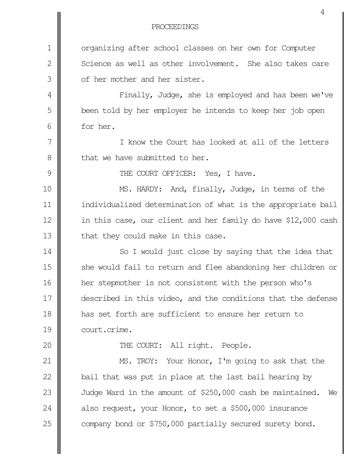organizing after school classes on her own for Computer Science as well as other involvement. She also takes care of her mother and her sister. Finally, Judge, she is employed and has been we've been told by her employer he intends to keep her job open for her. I know the Court has looked at all of the letters that we have submitted to her. THE COURT OFFICER: Yes, I have. MS. HARDY: And, finally, Judge, in terms of the individualized determination of what is the appropriate bail in this case, our client and her family do have \$12,000 cash that they could make in this case. So I would just close by saying that the idea that she would fail to return and flee abandoning her children or her stepmother is not consistent with the person who's described in this video, and the conditions that the defense has set forth are sufficient to ensure her return to court.crime. THE COURT: All right. People. MS. TROY: Your Honor, I'm going to ask that the bail that was put in place at the last bail hearing by Judge Ward in the amount of \$250,000 cash be maintained. We also request, your Honor, to set a \$500,000 insurance company bond or \$750,000 partially secured surety bond. 1 2 3 4 5 6 7 8 9 10 11 12 13 14 15 16 17 18 19 20 21 22 23 24 25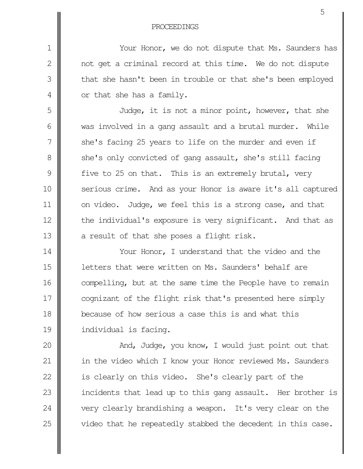```
PROCEEDINGS
```
1

2

3

4

5

6

7

8

9

10

11

12

13

Your Honor, we do not dispute that Ms. Saunders has not get a criminal record at this time. We do not dispute that she hasn't been in trouble or that she's been employed or that she has a family.

Judge, it is not a minor point, however, that she was involved in a gang assault and a brutal murder. While she's facing 25 years to life on the murder and even if she's only convicted of gang assault, she's still facing five to 25 on that. This is an extremely brutal, very serious crime. And as your Honor is aware it's all captured on video. Judge, we feel this is a strong case, and that the individual's exposure is very significant. And that as a result of that she poses a flight risk.

Your Honor, I understand that the video and the letters that were written on Ms. Saunders' behalf are compelling, but at the same time the People have to remain cognizant of the flight risk that's presented here simply because of how serious a case this is and what this individual is facing. 14 15 16 17 18 19

And, Judge, you know, I would just point out that in the video which I know your Honor reviewed Ms. Saunders is clearly on this video. She's clearly part of the incidents that lead up to this gang assault. Her brother is very clearly brandishing a weapon. It's very clear on the video that he repeatedly stabbed the decedent in this case. 20 21 22 23 24 25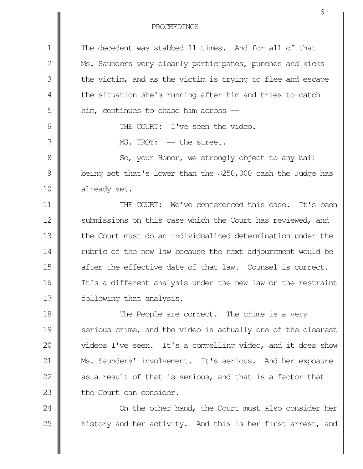| 1             | The decedent was stabbed 11 times. And for all of that       |
|---------------|--------------------------------------------------------------|
| 2             | Ms. Saunders very clearly participates, punches and kicks    |
| 3             | the victim, and as the victim is trying to flee and escape   |
| 4             | the situation she's running after him and tries to catch     |
| 5             | him, continues to chase him across --                        |
| 6             | THE COURT: I've seen the video.                              |
| 7             | MS. TROY: -- the street.                                     |
| 8             | So, your Honor, we strongly object to any bail               |
| $\mathcal{G}$ | being set that's lower than the \$250,000 cash the Judge has |
| 10            | already set.                                                 |
| 11            | THE COURT: We've conferenced this case. It's been            |
| 12            | submissions on this case which the Court has reviewed, and   |
| 13            | the Court must do an individualized determination under the  |
| 14            | rubric of the new law because the next adjournment would be  |
| 15            | after the effective date of that law. Counsel is correct.    |
| 16            | It's a different analysis under the new law or the restraint |
| 17            | following that analysis.                                     |
| 18            | The People are correct. The crime is a very                  |
| 19            | serious crime, and the video is actually one of the clearest |
| 20            | videos I've seen. It's a compelling video, and it does show  |
| 21            | Ms. Saunders' involvement. It's serious. And her exposure    |
| 22            | as a result of that is serious, and that is a factor that    |
| 23            | the Court can consider.                                      |
| 24            | On the other hand, the Court must also consider her          |
| 25            | history and her activity. And this is her first arrest, and  |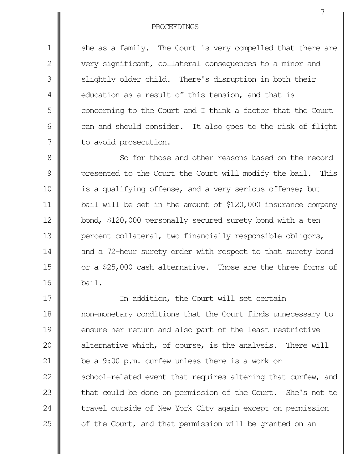she as a family. The Court is very compelled that there are very significant, collateral consequences to a minor and slightly older child. There's disruption in both their education as a result of this tension, and that is concerning to the Court and I think a factor that the Court can and should consider. It also goes to the risk of flight to avoid prosecution. 1 2 3 4 5 6 7

So for those and other reasons based on the record presented to the Court the Court will modify the bail. This is a qualifying offense, and a very serious offense; but bail will be set in the amount of \$120,000 insurance company bond, \$120,000 personally secured surety bond with a ten percent collateral, two financially responsible obligors, and a 72-hour surety order with respect to that surety bond or a \$25,000 cash alternative. Those are the three forms of bail. 8 9 10 11 12 13 14 15 16

In addition, the Court will set certain non-monetary conditions that the Court finds unnecessary to ensure her return and also part of the least restrictive alternative which, of course, is the analysis. There will be a 9:00 p.m. curfew unless there is a work or school-related event that requires altering that curfew, and that could be done on permission of the Court. She's not to travel outside of New York City again except on permission of the Court, and that permission will be granted on an 17 18 19 20 21 22 23 24 25